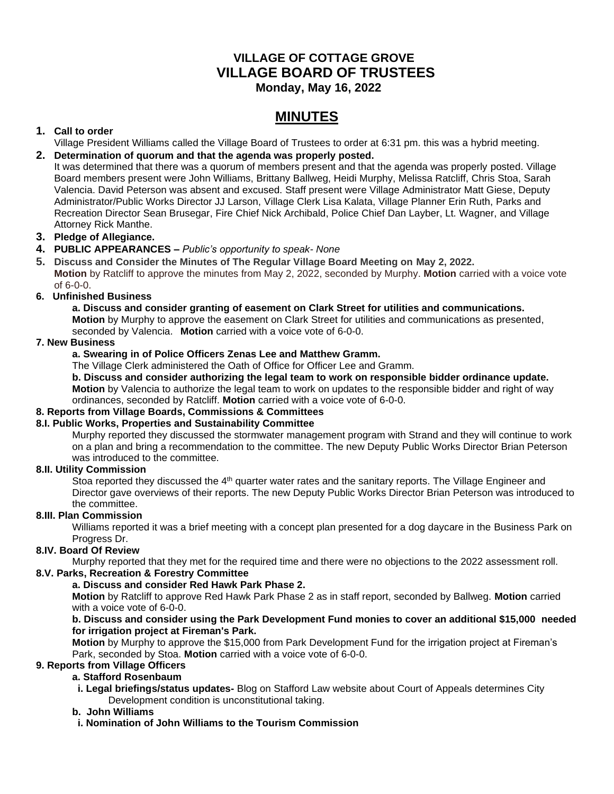# **VILLAGE OF COTTAGE GROVE VILLAGE BOARD OF TRUSTEES**

 **Monday, May 16, 2022**

# **MINUTES**

# **1. Call to order**

Village President Williams called the Village Board of Trustees to order at 6:31 pm. this was a hybrid meeting.

# **2. Determination of quorum and that the agenda was properly posted.**

It was determined that there was a quorum of members present and that the agenda was properly posted. Village Board members present were John Williams, Brittany Ballweg, Heidi Murphy, Melissa Ratcliff, Chris Stoa, Sarah Valencia. David Peterson was absent and excused. Staff present were Village Administrator Matt Giese, Deputy Administrator/Public Works Director JJ Larson, Village Clerk Lisa Kalata, Village Planner Erin Ruth, Parks and Recreation Director Sean Brusegar, Fire Chief Nick Archibald, Police Chief Dan Layber, Lt. Wagner, and Village Attorney Rick Manthe.

# **3. Pledge of Allegiance.**

### **4. PUBLIC APPEARANCES –** *Public's opportunity to speak- None*

**5. Discuss and Consider the Minutes of The Regular Village Board Meeting on May 2, 2022. Motion** by Ratcliff to approve the minutes from May 2, 2022, seconded by Murphy. **Motion** carried with a voice vote of 6-0-0.

### **6. Unfinished Business**

**a. Discuss and consider granting of easement on Clark Street for utilities and communications. Motion** by Murphy to approve the easement on Clark Street for utilities and communications as presented, seconded by Valencia. **Motion** carried with a voice vote of 6-0-0.

### **7. New Business**

### **a. Swearing in of Police Officers Zenas Lee and Matthew Gramm.**

The Village Clerk administered the Oath of Office for Officer Lee and Gramm.

**b. Discuss and consider authorizing the legal team to work on responsible bidder ordinance update. Motion** by Valencia to authorize the legal team to work on updates to the responsible bidder and right of way ordinances, seconded by Ratcliff. **Motion** carried with a voice vote of 6-0-0.

# **8. Reports from Village Boards, Commissions & Committees**

# **8.I. Public Works, Properties and Sustainability Committee**

Murphy reported they discussed the stormwater management program with Strand and they will continue to work on a plan and bring a recommendation to the committee. The new Deputy Public Works Director Brian Peterson was introduced to the committee.

#### **8.II. Utility Commission**

Stoa reported they discussed the 4<sup>th</sup> quarter water rates and the sanitary reports. The Village Engineer and Director gave overviews of their reports. The new Deputy Public Works Director Brian Peterson was introduced to the committee.

#### **8.III. Plan Commission**

Williams reported it was a brief meeting with a concept plan presented for a dog daycare in the Business Park on Progress Dr.

# **8.IV. Board Of Review**

Murphy reported that they met for the required time and there were no objections to the 2022 assessment roll.

# **8.V. Parks, Recreation & Forestry Committee**

#### **a. Discuss and consider Red Hawk Park Phase 2.**

**Motion** by Ratcliff to approve Red Hawk Park Phase 2 as in staff report, seconded by Ballweg. **Motion** carried with a voice vote of 6-0-0.

#### **b. Discuss and consider using the Park Development Fund monies to cover an additional \$15,000 needed for irrigation project at Fireman's Park.**

**Motion** by Murphy to approve the \$15,000 from Park Development Fund for the irrigation project at Fireman's Park, seconded by Stoa. **Motion** carried with a voice vote of 6-0-0.

### **9. Reports from Village Officers**

# **a. Stafford Rosenbaum**

**i. Legal briefings/status updates-** Blog on Stafford Law website about Court of Appeals determines City Development condition is unconstitutional taking.

# **b. John Williams**

 **i. Nomination of John Williams to the Tourism Commission**